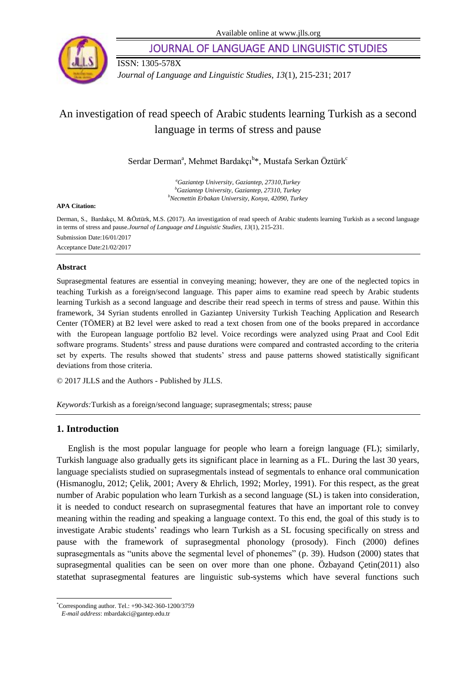

JOURNAL OF LANGUAGE AND LINGUISTIC STUDIES

ISSN: 1305-578X *Journal of Language and Linguistic Studies, 13*(1), 215-231; 2017

# An investigation of read speech of Arabic students learning Turkish as a second language in terms of stress and pause

Serdar Derman<sup>a</sup>, Mehmet Bardakçı<sup>b</sup>\*, Mustafa Serkan Öztürk<sup>c</sup>

*<sup>a</sup>Gaziantep University, Gaziantep, 27310,Turkey <sup>b</sup>Gaziantep University, Gaziantep, 27310, Turkey <sup>b</sup>Necmettin Erbakan University, Konya, 42090, Turkey*

#### **APA Citation:**

Derman, S., Bardakçı, M. &Öztürk, M.S. (2017). An investigation of read speech of Arabic students learning Turkish as a second language in terms of stress and pause.*Journal of Language and Linguistic Studies, 13*(1), 215-231. Submission Date:16/01/2017 Acceptance Date:21/02/2017

#### **Abstract**

Suprasegmental features are essential in conveying meaning; however, they are one of the neglected topics in teaching Turkish as a foreign/second language. This paper aims to examine read speech by Arabic students learning Turkish as a second language and describe their read speech in terms of stress and pause. Within this framework, 34 Syrian students enrolled in Gaziantep University Turkish Teaching Application and Research Center (TÖMER) at B2 level were asked to read a text chosen from one of the books prepared in accordance with the European language portfolio B2 level. Voice recordings were analyzed using Praat and Cool Edit software programs. Students' stress and pause durations were compared and contrasted according to the criteria set by experts. The results showed that students' stress and pause patterns showed statistically significant deviations from those criteria.

© 2017 JLLS and the Authors - Published by JLLS.

*Keywords:*Turkish as a foreign/second language; suprasegmentals; stress; pause

## **1. Introduction**

English is the most popular language for people who learn a foreign language (FL); similarly, Turkish language also gradually gets its significant place in learning as a FL. During the last 30 years, language specialists studied on suprasegmentals instead of segmentals to enhance oral communication (Hismanoglu, 2012; Çelik, 2001; Avery & Ehrlich, 1992; Morley, 1991). For this respect, as the great number of Arabic population who learn Turkish as a second language (SL) is taken into consideration, it is needed to conduct research on suprasegmental features that have an important role to convey meaning within the reading and speaking a language context. To this end, the goal of this study is to investigate Arabic students' readings who learn Turkish as a SL focusing specifically on stress and pause with the framework of suprasegmental phonology (prosody). Finch (2000) defines suprasegmentals as "units above the segmental level of phonemes" (p. 39). Hudson (2000) states that suprasegmental qualities can be seen on over more than one phone. Özbayand Çetin(2011) also statethat suprasegmental features are linguistic sub-systems which have several functions such

l

<sup>\*</sup>Corresponding author. Tel.: +90-342-360-1200/3759

*E-mail address*: mbardakci@gantep.edu.tr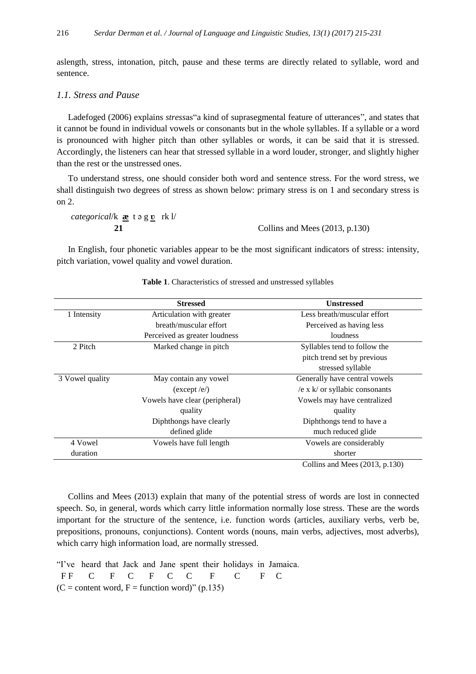aslength, stress, intonation, pitch, pause and these terms are directly related to syllable, word and sentence.

## *1.1. Stress and Pause*

Ladefoged (2006) explains *stress*as"a kind of suprasegmental feature of utterances", and states that it cannot be found in individual vowels or consonants but in the whole syllables. If a syllable or a word is pronounced with higher pitch than other syllables or words, it can be said that it is stressed. Accordingly, the listeners can hear that stressed syllable in a word louder, stronger, and slightly higher than the rest or the unstressed ones.

To understand stress, one should consider both word and sentence stress. For the word stress, we shall distinguish two degrees of stress as shown below: primary stress is on 1 and secondary stress is on 2.

*categorical*/k **æ** t ə g **ʋ** rk l/

**21** Collins and Mees (2013, p.130)

In English, four phonetic variables appear to be the most significant indicators of stress: intensity, pitch variation, vowel quality and vowel duration.

|                 | <b>Stressed</b>                | <b>Unstressed</b>                 |
|-----------------|--------------------------------|-----------------------------------|
| 1 Intensity     | Articulation with greater      | Less breath/muscular effort       |
|                 | breath/muscular effort         | Perceived as having less          |
|                 | Perceived as greater loudness  | loudness                          |
| 2 Pitch         | Marked change in pitch         | Syllables tend to follow the      |
|                 |                                | pitch trend set by previous       |
|                 |                                | stressed syllable                 |
| 3 Vowel quality | May contain any vowel          | Generally have central vowels     |
|                 | (except / e)                   | /e x $k$ / or syllabic consonants |
|                 | Vowels have clear (peripheral) | Vowels may have centralized       |
|                 | quality                        | quality                           |
|                 | Diphthongs have clearly        | Diphthongs tend to have a         |
|                 | defined glide                  | much reduced glide                |
| 4 Vowel         | Vowels have full length        | Vowels are considerably           |
| duration        |                                | shorter                           |
|                 |                                | Collins and Mees $(2013, p.130)$  |

**Table 1**. Characteristics of stressed and unstressed syllables

Collins and Mees (2013) explain that many of the potential stress of words are lost in connected speech. So, in general, words which carry little information normally lose stress. These are the words important for the structure of the sentence, i.e. function words (articles, auxiliary verbs, verb be, prepositions, pronouns, conjunctions). Content words (nouns, main verbs, adjectives, most adverbs), which carry high information load, are normally stressed.

"I've heard that Jack and Jane spent their holidays in Jamaica. FF C F C F C C F C F C  $(C =$  content word,  $F =$  function word)" (p.135)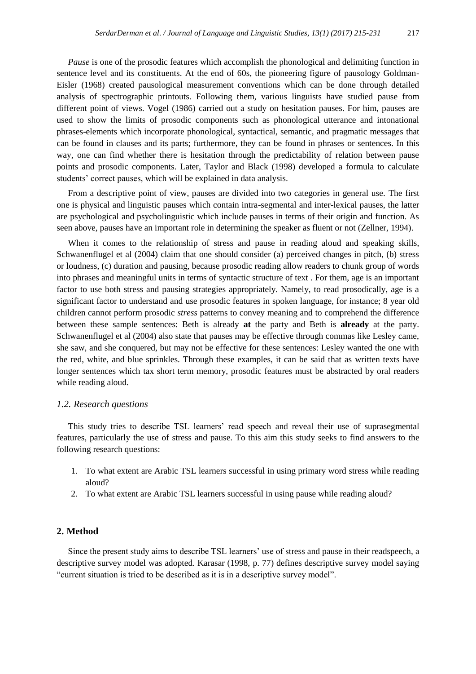*Pause* is one of the prosodic features which accomplish the phonological and delimiting function in sentence level and its constituents. At the end of 60s, the pioneering figure of pausology Goldman-Eisler (1968) created pausological measurement conventions which can be done through detailed analysis of spectrographic printouts. Following them, various linguists have studied pause from different point of views. Vogel (1986) carried out a study on hesitation pauses. For him, pauses are used to show the limits of prosodic components such as phonological utterance and intonational phrases-elements which incorporate phonological, syntactical, semantic, and pragmatic messages that can be found in clauses and its parts; furthermore, they can be found in phrases or sentences. In this way, one can find whether there is hesitation through the predictability of relation between pause points and prosodic components. Later, Taylor and Black (1998) developed a formula to calculate students' correct pauses, which will be explained in data analysis.

From a descriptive point of view, pauses are divided into two categories in general use. The first one is physical and linguistic pauses which contain intra-segmental and inter-lexical pauses, the latter are psychological and psycholinguistic which include pauses in terms of their origin and function. As seen above, pauses have an important role in determining the speaker as fluent or not (Zellner, 1994).

When it comes to the relationship of stress and pause in reading aloud and speaking skills, Schwanenflugel et al (2004) claim that one should consider (a) perceived changes in pitch, (b) stress or loudness, (c) duration and pausing, because prosodic reading allow readers to chunk group of words into phrases and meaningful units in terms of syntactic structure of text . For them, age is an important factor to use both stress and pausing strategies appropriately. Namely, to read prosodically, age is a significant factor to understand and use prosodic features in spoken language, for instance; 8 year old children cannot perform prosodic *stress* patterns to convey meaning and to comprehend the difference between these sample sentences: Beth is already **at** the party and Beth is **already** at the party. Schwanenflugel et al (2004) also state that pauses may be effective through commas like Lesley came, she saw, and she conquered, but may not be effective for these sentences: Lesley wanted the one with the red, white, and blue sprinkles. Through these examples, it can be said that as written texts have longer sentences which tax short term memory, prosodic features must be abstracted by oral readers while reading aloud.

#### *1.2. Research questions*

This study tries to describe TSL learners' read speech and reveal their use of suprasegmental features, particularly the use of stress and pause. To this aim this study seeks to find answers to the following research questions:

- 1. To what extent are Arabic TSL learners successful in using primary word stress while reading aloud?
- 2. To what extent are Arabic TSL learners successful in using pause while reading aloud?

## **2. Method**

Since the present study aims to describe TSL learners' use of stress and pause in their readspeech, a descriptive survey model was adopted. Karasar (1998, p. 77) defines descriptive survey model saying "current situation is tried to be described as it is in a descriptive survey model".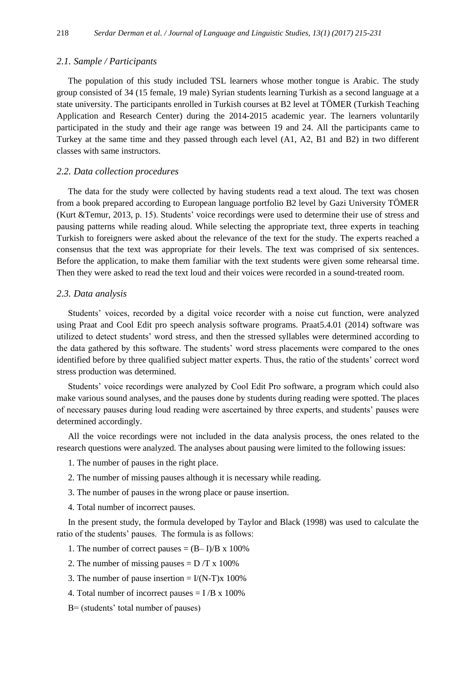#### *2.1. Sample / Participants*

The population of this study included TSL learners whose mother tongue is Arabic. The study group consisted of 34 (15 female, 19 male) Syrian students learning Turkish as a second language at a state university. The participants enrolled in Turkish courses at B2 level at TÖMER (Turkish Teaching Application and Research Center) during the 2014-2015 academic year. The learners voluntarily participated in the study and their age range was between 19 and 24. All the participants came to Turkey at the same time and they passed through each level (A1, A2, B1 and B2) in two different classes with same instructors.

## *2.2. Data collection procedures*

The data for the study were collected by having students read a text aloud. The text was chosen from a book prepared according to European language portfolio B2 level by Gazi University TÖMER (Kurt &Temur, 2013, p. 15). Students' voice recordings were used to determine their use of stress and pausing patterns while reading aloud. While selecting the appropriate text, three experts in teaching Turkish to foreigners were asked about the relevance of the text for the study. The experts reached a consensus that the text was appropriate for their levels. The text was comprised of six sentences. Before the application, to make them familiar with the text students were given some rehearsal time. Then they were asked to read the text loud and their voices were recorded in a sound-treated room.

#### *2.3. Data analysis*

Students' voices, recorded by a digital voice recorder with a noise cut function, were analyzed using Praat and Cool Edit pro speech analysis software programs. Praat5.4.01 (2014) software was utilized to detect students' word stress, and then the stressed syllables were determined according to the data gathered by this software. The students' word stress placements were compared to the ones identified before by three qualified subject matter experts. Thus, the ratio of the students' correct word stress production was determined.

Students' voice recordings were analyzed by Cool Edit Pro software, a program which could also make various sound analyses, and the pauses done by students during reading were spotted. The places of necessary pauses during loud reading were ascertained by three experts, and students' pauses were determined accordingly.

All the voice recordings were not included in the data analysis process, the ones related to the research questions were analyzed. The analyses about pausing were limited to the following issues:

- 1. The number of pauses in the right place.
- 2. The number of missing pauses although it is necessary while reading.
- 3. The number of pauses in the wrong place or pause insertion.
- 4. Total number of incorrect pauses.

In the present study, the formula developed by Taylor and Black (1998) was used to calculate the ratio of the students' pauses. The formula is as follows:

- 1. The number of correct pauses  $= (B I)/B \times 100\%$
- 2. The number of missing pauses  $= D/T x 100\%$
- 3. The number of pause insertion =  $I/(N-T)x$  100%
- 4. Total number of incorrect pauses  $= I/B \times 100\%$
- B= (students' total number of pauses)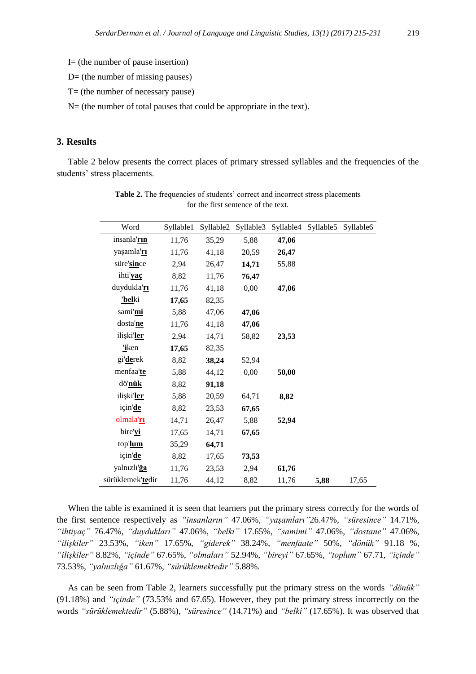- I= (the number of pause insertion)
- $D=$  (the number of missing pauses)
- T= (the number of necessary pause)

N= (the number of total pauses that could be appropriate in the text).

## **3. Results**

Table 2 below presents the correct places of primary stressed syllables and the frequencies of the students' stress placements.

| Word                | Syllable1 | Syllable2 | Syllable3 | Syllable4 | Syllable5 | Syllable6 |
|---------------------|-----------|-----------|-----------|-----------|-----------|-----------|
| insanla' <i>rin</i> | 11,76     | 35,29     | 5,88      | 47,06     |           |           |
| yaşamla' <u>rı</u>  | 11,76     | 41,18     | 20,59     | 26,47     |           |           |
| süre'since          | 2,94      | 26,47     | 14,71     | 55,88     |           |           |
| ihti'yac            | 8,82      | 11,76     | 76,47     |           |           |           |
| duydukla'rı         | 11,76     | 41,18     | 0,00      | 47,06     |           |           |
| 'belki              | 17,65     | 82,35     |           |           |           |           |
| sami'mi             | 5,88      | 47,06     | 47,06     |           |           |           |
| dosta'ne            | 11,76     | 41,18     | 47,06     |           |           |           |
| ilişki'ler          | 2.94      | 14,71     | 58,82     | 23,53     |           |           |
| <u>'i</u> ken       | 17,65     | 82,35     |           |           |           |           |
| gi' <b>de</b> rek   | 8,82      | 38,24     | 52,94     |           |           |           |
| menfaa'te           | 5,88      | 44,12     | 0,00      | 50,00     |           |           |
| dö'nük              | 8,82      | 91,18     |           |           |           |           |
| ilişki'ler          | 5,88      | 20,59     | 64,71     | 8,82      |           |           |
| için'de             | 8,82      | 23,53     | 67,65     |           |           |           |
| olmala'rı           | 14,71     | 26,47     | 5,88      | 52,94     |           |           |
| bire'yi             | 17,65     | 14,71     | 67,65     |           |           |           |
| top'lum             | 35,29     | 64,71     |           |           |           |           |
| için'de             | 8,82      | 17,65     | 73,53     |           |           |           |
| yalnızlı'ğa         | 11,76     | 23,53     | 2,94      | 61,76     |           |           |
| sürüklemek'tedir    | 11,76     | 44,12     | 8,82      | 11,76     | 5,88      | 17,65     |

Table 2. The frequencies of students' correct and incorrect stress placements for the first sentence of the text.

When the table is examined it is seen that learners put the primary stress correctly for the words of the first sentence respectively as *"insanların"* 47.06%, *"yaşamları"*26.47%, *"süresince"* 14.71%, *"ihtiyaç"* 76.47%, *"duydukları"* 47.06%, *"belki"* 17.65%, *"samimi"* 47.06%, *"dostane"* 47.06%, *"ilişkiler"* 23.53%, *"iken"* 17.65%, *"giderek"* 38.24%, *"menfaate"* 50%, *"dönük"* 91.18 %, *"ilişkiler"* 8.82%, *"içinde"* 67.65%, *"olmaları"* 52.94%, *"bireyi"* 67.65%, *"toplum"* 67.71, *"içinde"*  73.53%, *"yalnızlığa"* 61.67%, *"sürüklemektedir"* 5.88%.

As can be seen from Table 2, learners successfully put the primary stress on the words *"dönük"* (91.18%) and *"içinde"* (73.53% and 67.65). However, they put the primary stress incorrectly on the words *"sürüklemektedir"* (5.88%), *"süresince"* (14.71%) and *"belki"* (17.65%). It was observed that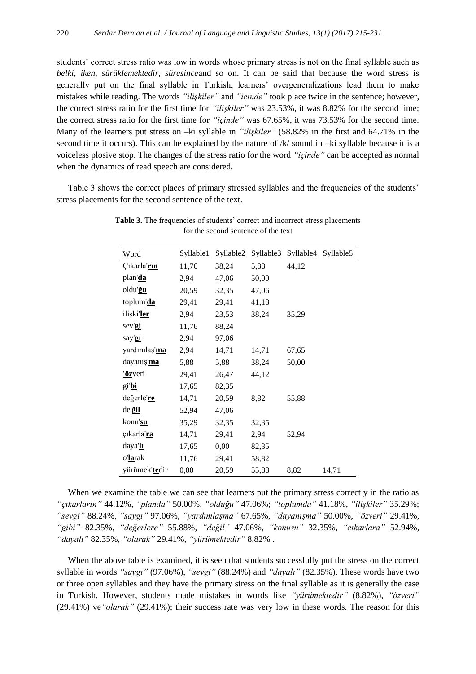students' correct stress ratio was low in words whose primary stress is not on the final syllable such as *belki, iken, sürüklemektedir, süresince*and so on. It can be said that because the word stress is generally put on the final syllable in Turkish, learners' overgeneralizations lead them to make mistakes while reading. The words *"ilişkiler"* and *"içinde"* took place twice in the sentence; however, the correct stress ratio for the first time for *"ilişkiler"* was 23.53%, it was 8.82% for the second time; the correct stress ratio for the first time for *"içinde"* was 67.65%, it was 73.53% for the second time. Many of the learners put stress on –ki syllable in *"ilişkiler"* (58.82% in the first and 64.71% in the second time it occurs). This can be explained by the nature of  $/k/$  sound in  $-ki$  syllable because it is a voiceless plosive stop. The changes of the stress ratio for the word *"içinde"* can be accepted as normal when the dynamics of read speech are considered.

Table 3 shows the correct places of primary stressed syllables and the frequencies of the students' stress placements for the second sentence of the text.

| Word            | Syllable1 | Syllable2 | Syllable3 | Syllable4 Syllable5 |       |
|-----------------|-----------|-----------|-----------|---------------------|-------|
| Çıkarla'rın     | 11,76     | 38,24     | 5,88      | 44,12               |       |
| plan'da         | 2,94      | 47,06     | 50,00     |                     |       |
| oldu'ğu         | 20,59     | 32,35     | 47,06     |                     |       |
| toplum'da       | 29,41     | 29,41     | 41,18     |                     |       |
| ilişki'ler      | 2,94      | 23,53     | 38,24     | 35,29               |       |
| sev'gi          | 11,76     | 88,24     |           |                     |       |
| say'gı          | 2,94      | 97,06     |           |                     |       |
| yardımlaş'ma    | 2,94      | 14,71     | 14,71     | 67,65               |       |
| dayanış'ma      | 5,88      | 5,88      | 38,24     | 50,00               |       |
| 'özveri         | 29,41     | 26,47     | 44,12     |                     |       |
| gi'bi           | 17,65     | 82,35     |           |                     |       |
| değerle're      | 14,71     | 20,59     | 8,82      | 55,88               |       |
| de'ğil          | 52,94     | 47,06     |           |                     |       |
| konu' <b>su</b> | 35,29     | 32,35     | 32,35     |                     |       |
| çıkarla'n       | 14,71     | 29,41     | 2,94      | 52,94               |       |
| daya'lı         | 17,65     | 0,00      | 82,35     |                     |       |
| o'larak         | 11,76     | 29,41     | 58,82     |                     |       |
| yürümek'tedir   | 0,00      | 20,59     | 55,88     | 8,82                | 14,71 |

Table 3. The frequencies of students' correct and incorrect stress placements for the second sentence of the text

When we examine the table we can see that learners put the primary stress correctly in the ratio as *"çıkarların"* 44.12%, *"planda"* 50.00%, *"olduğu"* 47.06%; *"toplumda"* 41.18%, *"ilişkiler"* 35.29%; *"sevgi"* 88.24%, *"saygı"* 97.06%, *"yardımlaşma"* 67.65%, *"dayanışma"* 50.00%, *"özveri"* 29.41%, *"gibi"* 82.35%, *"değerlere"* 55.88%, *"değil"* 47.06%, *"konusu"* 32.35%, *"çıkarlara"* 52.94%, *"dayalı"* 82.35%, *"olarak"* 29.41%, *"yürümektedir"* 8.82% .

When the above table is examined, it is seen that students successfully put the stress on the correct syllable in words *"saygı"* (97.06%), *"sevgi"* (88.24%) and *"dayalı"* (82.35%). These words have two or three open syllables and they have the primary stress on the final syllable as it is generally the case in Turkish. However, students made mistakes in words like *"yürümektedir"* (8.82%), *"özveri"*  (29.41%) ve*"olarak"* (29.41%); their success rate was very low in these words. The reason for this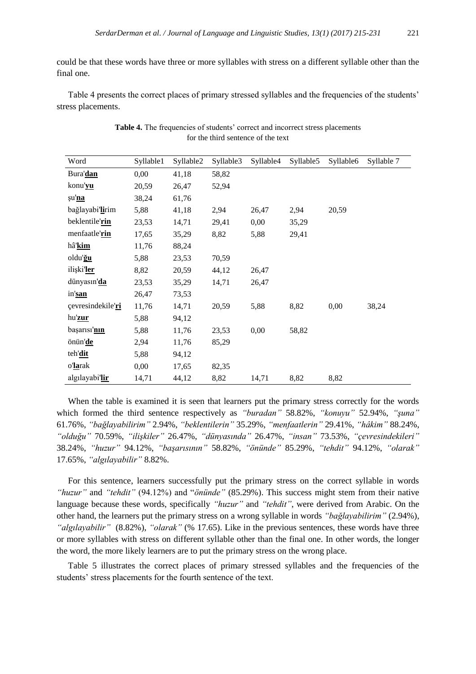could be that these words have three or more syllables with stress on a different syllable other than the final one.

Table 4 presents the correct places of primary stressed syllables and the frequencies of the students' stress placements.

| Word              | Syllable1 | Syllable2 | Syllable3 | Syllable4 | Syllable5 | Syllable6 | Syllable 7 |
|-------------------|-----------|-----------|-----------|-----------|-----------|-----------|------------|
| Bura'dan          | 0,00      | 41,18     | 58,82     |           |           |           |            |
| konu' <b>yu</b>   | 20,59     | 26,47     | 52,94     |           |           |           |            |
| şu'na             | 38,24     | 61,76     |           |           |           |           |            |
| bağlayabi'lirim   | 5,88      | 41,18     | 2,94      | 26,47     | 2,94      | 20,59     |            |
| beklentile'rin    | 23,53     | 14,71     | 29,41     | 0,00      | 35,29     |           |            |
| menfaatle'rin     | 17,65     | 35,29     | 8,82      | 5,88      | 29,41     |           |            |
| hâ'kim            | 11,76     | 88,24     |           |           |           |           |            |
| oldu'ğu           | 5,88      | 23,53     | 70,59     |           |           |           |            |
| ilişki'ler        | 8,82      | 20,59     | 44,12     | 26,47     |           |           |            |
| dünyasın'da       | 23,53     | 35,29     | 14,71     | 26,47     |           |           |            |
| in'san            | 26,47     | 73,53     |           |           |           |           |            |
| çevresindekile'ri | 11,76     | 14,71     | 20,59     | 5,88      | 8,82      | 0,00      | 38,24      |
| hu'zur            | 5,88      | 94,12     |           |           |           |           |            |
| başarısı'nın      | 5,88      | 11,76     | 23,53     | 0,00      | 58,82     |           |            |
| önün'de           | 2,94      | 11,76     | 85,29     |           |           |           |            |
| teh'dit           | 5,88      | 94,12     |           |           |           |           |            |
| o'larak           | 0,00      | 17,65     | 82,35     |           |           |           |            |
| algılayabi'lir    | 14,71     | 44,12     | 8,82      | 14,71     | 8,82      | 8,82      |            |

| Table 4. The frequencies of students' correct and incorrect stress placements |
|-------------------------------------------------------------------------------|
| for the third sentence of the text                                            |

When the table is examined it is seen that learners put the primary stress correctly for the words which formed the third sentence respectively as *"buradan"* 58.82%, *"konuyu"* 52.94%, *"şuna"* 61.76%, *"bağlayabilirim"* 2.94%, *"beklentilerin"* 35.29%, *"menfaatlerin"* 29.41%, *"hâkim"* 88.24%, *"olduğu"* 70.59%, *"ilişkiler"* 26.47%, *"dünyasında"* 26.47%, *"insan"* 73.53%, *"çevresindekileri"* 38.24%, *"huzur"* 94.12%, *"başarısının"* 58.82%, *"önünde"* 85.29%, *"tehdit"* 94.12%, *"olarak"* 17.65%, *"algılayabilir"* 8.82%.

For this sentence, learners successfully put the primary stress on the correct syllable in words *"huzur"* and *"tehdit"* (94.12%) and "*önünde"* (85.29%). This success might stem from their native language because these words, specifically *"huzur"* and *"tehdit"*, were derived from Arabic. On the other hand, the learners put the primary stress on a wrong syllable in words *"bağlayabilirim"* (2.94%), *"algılayabilir"* (8.82%), *"olarak"* (% 17.65). Like in the previous sentences, these words have three or more syllables with stress on different syllable other than the final one. In other words, the longer the word, the more likely learners are to put the primary stress on the wrong place.

Table 5 illustrates the correct places of primary stressed syllables and the frequencies of the students' stress placements for the fourth sentence of the text.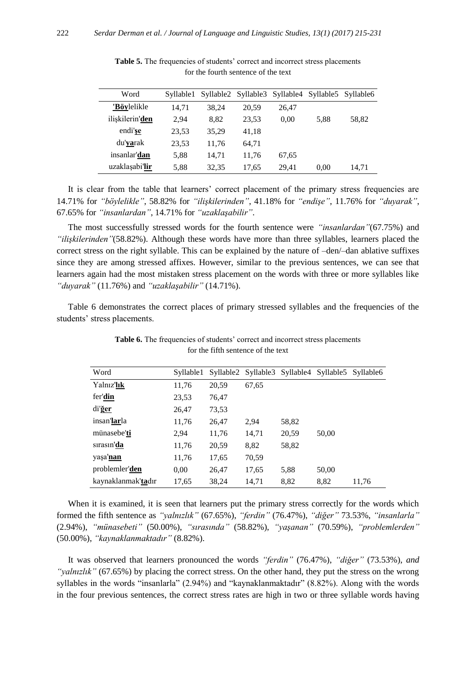| Word              | Syllable1 |       | Syllable2 Syllable3 |       | Syllable4 Syllable5 Syllable6 |       |
|-------------------|-----------|-------|---------------------|-------|-------------------------------|-------|
| 'Böylelikle       | 14.71     | 38.24 | 20.59               | 26,47 |                               |       |
| ilişkilerin'den   | 2.94      | 8.82  | 23,53               | 0.00  | 5,88                          | 58,82 |
| endi'se           | 23.53     | 35.29 | 41,18               |       |                               |       |
| du' <b>ya</b> rak | 23,53     | 11.76 | 64.71               |       |                               |       |
| insanlar'dan      | 5,88      | 14,71 | 11.76               | 67,65 |                               |       |
| uzaklaşabi'lir    | 5,88      | 32.35 | 17.65               | 29.41 | 0.00                          | 14,71 |

Table 5. The frequencies of students' correct and incorrect stress placements for the fourth sentence of the text

It is clear from the table that learners' correct placement of the primary stress frequencies are 14.71% for *"böylelikle"*, 58.82% for *"ilişkilerinden"*, 41.18% for *"endişe"*, 11.76% for *"duyarak"*, 67.65% for *"insanlardan"*, 14.71% for *"uzaklaşabilir"*.

The most successfully stressed words for the fourth sentence were *"insanlardan"*(67.75%) and *"ilişkilerinden"*(58.82%). Although these words have more than three syllables, learners placed the correct stress on the right syllable. This can be explained by the nature of –den/–dan ablative suffixes since they are among stressed affixes. However, similar to the previous sentences, we can see that learners again had the most mistaken stress placement on the words with three or more syllables like *"duyarak"* (11.76%) and *"uzaklaşabilir"* (14.71%).

Table 6 demonstrates the correct places of primary stressed syllables and the frequencies of the students' stress placements.

| Word                        | Syllable1 |       |       |       | Syllable2 Syllable3 Syllable4 Syllable5 Syllable6 |       |
|-----------------------------|-----------|-------|-------|-------|---------------------------------------------------|-------|
| Yalnız'lık                  | 11,76     | 20,59 | 67,65 |       |                                                   |       |
| fer'din                     | 23,53     | 76,47 |       |       |                                                   |       |
| di'ğer                      | 26,47     | 73,53 |       |       |                                                   |       |
| insan' <b>lar</b> la        | 11,76     | 26,47 | 2,94  | 58,82 |                                                   |       |
| münasebe'ti                 | 2,94      | 11,76 | 14,71 | 20,59 | 50,00                                             |       |
| sirasin' <b>da</b>          | 11,76     | 20,59 | 8,82  | 58,82 |                                                   |       |
| yaşa'nan                    | 11,76     | 17,65 | 70,59 |       |                                                   |       |
| problemler'den              | 0,00      | 26,47 | 17,65 | 5,88  | 50,00                                             |       |
| kaynaklanmak' <b>ta</b> dır | 17,65     | 38,24 | 14,71 | 8,82  | 8,82                                              | 11,76 |

Table 6. The frequencies of students' correct and incorrect stress placements for the fifth sentence of the text

When it is examined, it is seen that learners put the primary stress correctly for the words which formed the fifth sentence as *"yalnızlık"* (67.65%), *"ferdin"* (76.47%), *"diğer"* 73.53%, *"insanlarla"* (2.94%), *"münasebeti"* (50.00%), *"sırasında"* (58.82%), *"yaşanan"* (70.59%), *"problemlerden"* (50.00%), *"kaynaklanmaktadır"* (8.82%).

It was observed that learners pronounced the words *"ferdin"* (76.47%), *"diğer"* (73.53%), *and "yalnızlık"* (67.65%) by placing the correct stress. On the other hand, they put the stress on the wrong syllables in the words "insanlarla" (2.94%) and "kaynaklanmaktadır" (8.82%). Along with the words in the four previous sentences, the correct stress rates are high in two or three syllable words having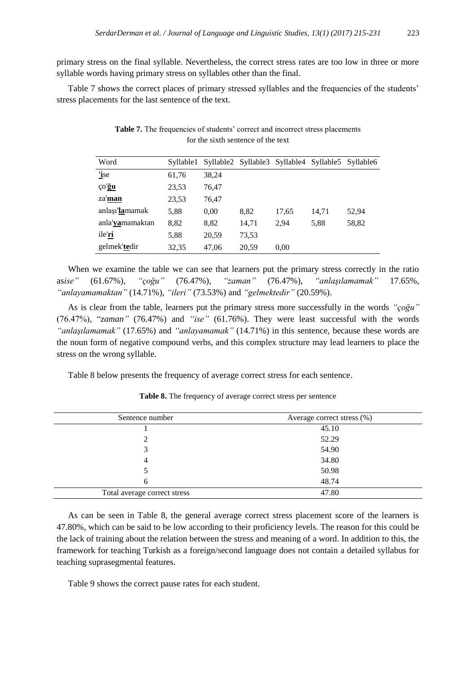primary stress on the final syllable. Nevertheless, the correct stress rates are too low in three or more syllable words having primary stress on syllables other than the final.

Table 7 shows the correct places of primary stressed syllables and the frequencies of the students' stress placements for the last sentence of the text.

| Word            | Syllable1 |       |       |       | Syllable2 Syllable3 Syllable4 Syllable5 Syllable6 |       |
|-----------------|-----------|-------|-------|-------|---------------------------------------------------|-------|
| 'ise            | 61,76     | 38.24 |       |       |                                                   |       |
| ço'ğu           | 23,53     | 76.47 |       |       |                                                   |       |
| za' <b>man</b>  | 23,53     | 76,47 |       |       |                                                   |       |
| anlaşı'lamamak  | 5,88      | 0.00  | 8,82  | 17,65 | 14.71                                             | 52,94 |
| anla'yamamaktan | 8,82      | 8,82  | 14,71 | 2.94  | 5,88                                              | 58,82 |
| ile'ri          | 5,88      | 20,59 | 73,53 |       |                                                   |       |
| gelmek'tedir    | 32,35     | 47,06 | 20,59 | 0.00  |                                                   |       |

Table 7. The frequencies of students' correct and incorrect stress placements for the sixth sentence of the text

When we examine the table we can see that learners put the primary stress correctly in the ratio as*ise"* (61.67%), *"çoğu"* (76.47%), *"zaman"* (76.47%), *"anlaşılamamak"* 17.65%, *"anlayamamaktan"* (14.71%), *"ileri"* (73.53%) and *"gelmektedir"* (20.59%).

As is clear from the table, learners put the primary stress more successfully in the words *"çoğu"* (76.47%), "*zaman"* (76.47%) and *"ise"* (61.76%). They were least successful with the words *"anlaşılamamak"* (17.65%) and *"anlayamamak"* (14.71%) in this sentence, because these words are the noun form of negative compound verbs, and this complex structure may lead learners to place the stress on the wrong syllable.

Table 8 below presents the frequency of average correct stress for each sentence.

| Sentence number              | Average correct stress $(\%)$ |  |
|------------------------------|-------------------------------|--|
|                              | 45.10                         |  |
|                              | 52.29                         |  |
|                              | 54.90                         |  |
| 4                            | 34.80                         |  |
|                              | 50.98                         |  |
| 6                            | 48.74                         |  |
| Total average correct stress | 47.80                         |  |

**Table 8.** The frequency of average correct stress per sentence

As can be seen in Table 8, the general average correct stress placement score of the learners is 47.80%, which can be said to be low according to their proficiency levels. The reason for this could be the lack of training about the relation between the stress and meaning of a word. In addition to this, the framework for teaching Turkish as a foreign/second language does not contain a detailed syllabus for teaching suprasegmental features.

Table 9 shows the correct pause rates for each student.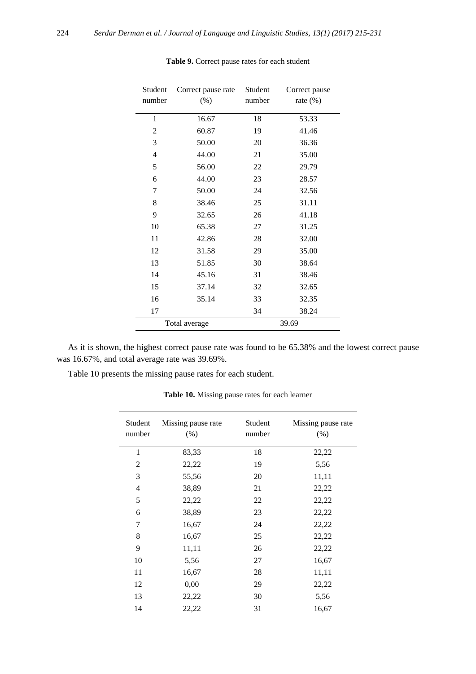| Student<br>number | Correct pause rate<br>(% ) | Student<br>number | Correct pause<br>rate $(\%)$ |
|-------------------|----------------------------|-------------------|------------------------------|
| $\mathbf{1}$      | 16.67                      | 18                | 53.33                        |
| 2                 | 60.87                      | 19                | 41.46                        |
| 3                 | 50.00                      | 20                | 36.36                        |
| $\overline{4}$    | 44.00                      | 21                | 35.00                        |
| 5                 | 56.00                      | 22                | 29.79                        |
| 6                 | 44.00                      | 23                | 28.57                        |
| 7                 | 50.00                      | 24                | 32.56                        |
| 8                 | 38.46                      | 25                | 31.11                        |
| 9                 | 32.65                      | 26                | 41.18                        |
| 10                | 65.38                      | 27                | 31.25                        |
| 11                | 42.86                      | 28                | 32.00                        |
| 12                | 31.58                      | 29                | 35.00                        |
| 13                | 51.85                      | 30                | 38.64                        |
| 14                | 45.16                      | 31                | 38.46                        |
| 15                | 37.14                      | 32                | 32.65                        |
| 16                | 35.14                      | 33                | 32.35                        |
| 17                |                            | 34                | 38.24                        |
|                   | Total average              |                   | 39.69                        |

**Table 9.** Correct pause rates for each student

As it is shown, the highest correct pause rate was found to be 65.38% and the lowest correct pause was 16.67%, and total average rate was 39.69%.

Table 10 presents the missing pause rates for each student.

| Student<br>number | Missing pause rate<br>(% ) | Student<br>number | Missing pause rate<br>(% ) |
|-------------------|----------------------------|-------------------|----------------------------|
| 1                 | 83,33                      | 18                | 22,22                      |
| $\overline{2}$    | 22,22                      | 19                | 5,56                       |
| 3                 | 55,56                      | 20                | 11,11                      |
| 4                 | 38,89                      | 21                | 22,22                      |
| 5                 | 22,22                      | 22                | 22,22                      |
| 6                 | 38,89                      | 23                | 22,22                      |
| 7                 | 16,67                      | 24                | 22,22                      |
| $\,$ 8 $\,$       | 16,67                      | 25                | 22,22                      |
| 9                 | 11,11                      | 26                | 22,22                      |
| 10                | 5,56                       | 27                | 16,67                      |
| 11                | 16,67                      | 28                | 11,11                      |
| 12                | 0,00                       | 29                | 22,22                      |
| 13                | 22,22                      | 30                | 5,56                       |
| 14                | 22,22                      | 31                | 16,67                      |

**Table 10.** Missing pause rates for each learner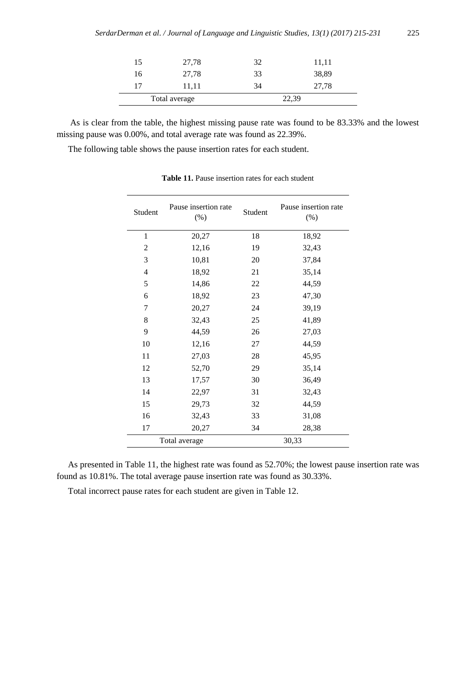| 15 | 27,78         | 32 | 11,11 |
|----|---------------|----|-------|
| 16 | 27,78         | 33 | 38,89 |
| 17 | 11,11         | 34 | 27,78 |
|    | Total average |    | 22,39 |

As is clear from the table, the highest missing pause rate was found to be 83.33% and the lowest missing pause was 0.00%, and total average rate was found as 22.39%.

The following table shows the pause insertion rates for each student.

| Student       | Pause insertion rate<br>$(\%)$ | Student | Pause insertion rate<br>$(\% )$ |
|---------------|--------------------------------|---------|---------------------------------|
| 1             | 20,27                          | 18      | 18,92                           |
| 2             | 12,16                          | 19      | 32,43                           |
| 3             | 10,81                          | 20      | 37,84                           |
| 4             | 18,92                          | 21      | 35,14                           |
| 5             | 14,86                          | 22      | 44,59                           |
| 6             | 18,92                          | 23      | 47,30                           |
| 7             | 20,27                          | 24      | 39,19                           |
| 8             | 32,43                          | 25      | 41,89                           |
| 9             | 44,59                          | 26      | 27,03                           |
| 10            | 12,16                          | 27      | 44,59                           |
| 11            | 27,03                          | 28      | 45,95                           |
| 12            | 52,70                          | 29      | 35,14                           |
| 13            | 17,57                          | 30      | 36,49                           |
| 14            | 22,97                          | 31      | 32,43                           |
| 15            | 29,73                          | 32      | 44,59                           |
| 16            | 32,43                          | 33      | 31,08                           |
| 17            | 20,27                          | 34      | 28,38                           |
| Total average |                                | 30,33   |                                 |

**Table 11.** Pause insertion rates for each student

As presented in Table 11, the highest rate was found as 52.70%; the lowest pause insertion rate was found as 10.81%. The total average pause insertion rate was found as 30.33%.

Total incorrect pause rates for each student are given in Table 12.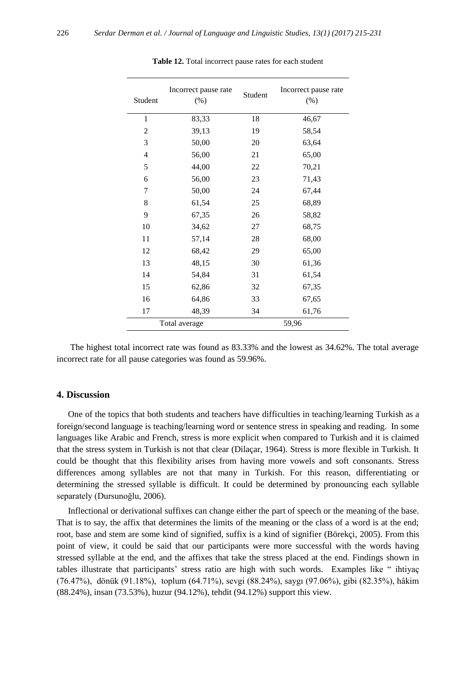| Student        | Incorrect pause rate<br>$(\% )$ | Student | Incorrect pause rate<br>(% ) |
|----------------|---------------------------------|---------|------------------------------|
| $\mathbf{1}$   | 83,33                           | 18      | 46,67                        |
| $\overline{2}$ | 39,13                           | 19      | 58,54                        |
| 3              | 50,00                           | 20      | 63,64                        |
| $\overline{4}$ | 56,00                           | 21      | 65,00                        |
| 5              | 44,00                           | 22      | 70,21                        |
| 6              | 56,00                           | 23      | 71,43                        |
| 7              | 50,00                           | 24      | 67,44                        |
| 8              | 61,54                           | 25      | 68,89                        |
| 9              | 67,35                           | 26      | 58,82                        |
| 10             | 34,62                           | 27      | 68,75                        |
| 11             | 57,14                           | 28      | 68,00                        |
| 12             | 68,42                           | 29      | 65,00                        |
| 13             | 48,15                           | 30      | 61,36                        |
| 14             | 54,84                           | 31      | 61,54                        |
| 15             | 62,86                           | 32      | 67,35                        |
| 16             | 64,86                           | 33      | 67,65                        |
| 17             | 48,39                           | 34      | 61,76                        |
| Total average  |                                 | 59,96   |                              |

**Table 12.** Total incorrect pause rates for each student

The highest total incorrect rate was found as 83.33% and the lowest as 34.62%. The total average incorrect rate for all pause categories was found as 59.96%.

### **4. Discussion**

One of the topics that both students and teachers have difficulties in teaching/learning Turkish as a foreign/second language is teaching/learning word or sentence stress in speaking and reading. In some languages like Arabic and French, stress is more explicit when compared to Turkish and it is claimed that the stress system in Turkish is not that clear (Dilaçar, 1964). Stress is more flexible in Turkish. It could be thought that this flexibility arises from having more vowels and soft consonants. Stress differences among syllables are not that many in Turkish. For this reason, differentiating or determining the stressed syllable is difficult. It could be determined by pronouncing each syllable separately (Dursunoğlu, 2006).

Inflectional or derivational suffixes can change either the part of speech or the meaning of the base. That is to say, the affix that determines the limits of the meaning or the class of a word is at the end; root, base and stem are some kind of signified, suffix is a kind of signifier (Börekçi, 2005). From this point of view, it could be said that our participants were more successful with the words having stressed syllable at the end, and the affixes that take the stress placed at the end. Findings shown in tables illustrate that participants' stress ratio are high with such words. Examples like " ihtiyaç (76.47%), dönük (91.18%), toplum (64.71%), sevgi (88.24%), saygı (97.06%), gibi (82.35%), hâkim (88.24%), insan (73.53%), huzur (94.12%), tehdit (94.12%) support this view.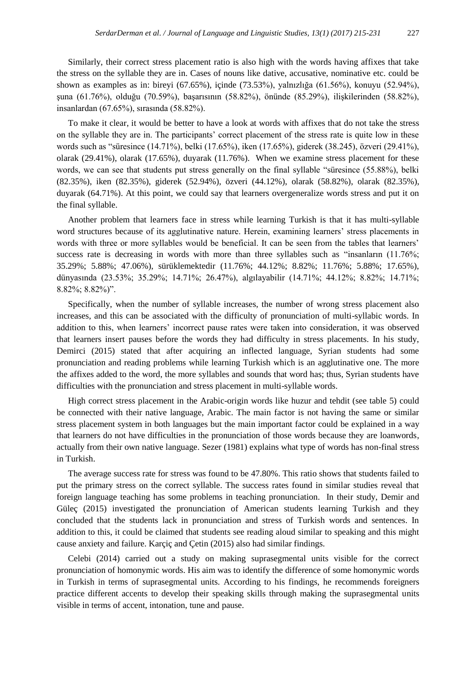Similarly, their correct stress placement ratio is also high with the words having affixes that take the stress on the syllable they are in. Cases of nouns like dative, accusative, nominative etc. could be shown as examples as in: bireyi (67.65%), içinde (73.53%), yalnızlığa (61.56%), konuyu (52.94%), şuna (61.76%), olduğu (70.59%), başarısının (58.82%), önünde (85.29%), ilişkilerinden (58.82%), insanlardan (67.65%), sırasında (58.82%).

To make it clear, it would be better to have a look at words with affixes that do not take the stress on the syllable they are in. The participants' correct placement of the stress rate is quite low in these words such as "süresince (14.71%), belki (17.65%), iken (17.65%), giderek (38.245), özveri (29.41%), olarak (29.41%), olarak (17.65%), duyarak (11.76%). When we examine stress placement for these words, we can see that students put stress generally on the final syllable "süresince (55.88%), belki (82.35%), iken (82.35%), giderek (52.94%), özveri (44.12%), olarak (58.82%), olarak (82.35%), duyarak (64.71%). At this point, we could say that learners overgeneralize words stress and put it on the final syllable.

Another problem that learners face in stress while learning Turkish is that it has multi-syllable word structures because of its agglutinative nature. Herein, examining learners' stress placements in words with three or more syllables would be beneficial. It can be seen from the tables that learners' success rate is decreasing in words with more than three syllables such as "insanların (11.76%; 35.29%; 5.88%; 47.06%), sürüklemektedir (11.76%; 44.12%; 8.82%; 11.76%; 5.88%; 17.65%), dünyasında (23.53%; 35.29%; 14.71%; 26.47%), algılayabilir (14.71%; 44.12%; 8.82%; 14.71%; 8.82%; 8.82%)".

Specifically, when the number of syllable increases, the number of wrong stress placement also increases, and this can be associated with the difficulty of pronunciation of multi-syllabic words. In addition to this, when learners' incorrect pause rates were taken into consideration, it was observed that learners insert pauses before the words they had difficulty in stress placements. In his study, Demirci (2015) stated that after acquiring an inflected language, Syrian students had some pronunciation and reading problems while learning Turkish which is an agglutinative one. The more the affixes added to the word, the more syllables and sounds that word has; thus, Syrian students have difficulties with the pronunciation and stress placement in multi-syllable words.

High correct stress placement in the Arabic-origin words like huzur and tehdit (see table 5) could be connected with their native language, Arabic. The main factor is not having the same or similar stress placement system in both languages but the main important factor could be explained in a way that learners do not have difficulties in the pronunciation of those words because they are loanwords, actually from their own native language. Sezer (1981) explains what type of words has non-final stress in Turkish.

The average success rate for stress was found to be 47.80%. This ratio shows that students failed to put the primary stress on the correct syllable. The success rates found in similar studies reveal that foreign language teaching has some problems in teaching pronunciation. In their study, Demir and Güleç (2015) investigated the pronunciation of American students learning Turkish and they concluded that the students lack in pronunciation and stress of Turkish words and sentences. In addition to this, it could be claimed that students see reading aloud similar to speaking and this might cause anxiety and failure. Karçiç and Çetin (2015) also had similar findings.

Celebi (2014) carried out a study on making suprasegmental units visible for the correct pronunciation of homonymic words. His aim was to identify the difference of some homonymic words in Turkish in terms of suprasegmental units. According to his findings, he recommends foreigners practice different accents to develop their speaking skills through making the suprasegmental units visible in terms of accent, intonation, tune and pause.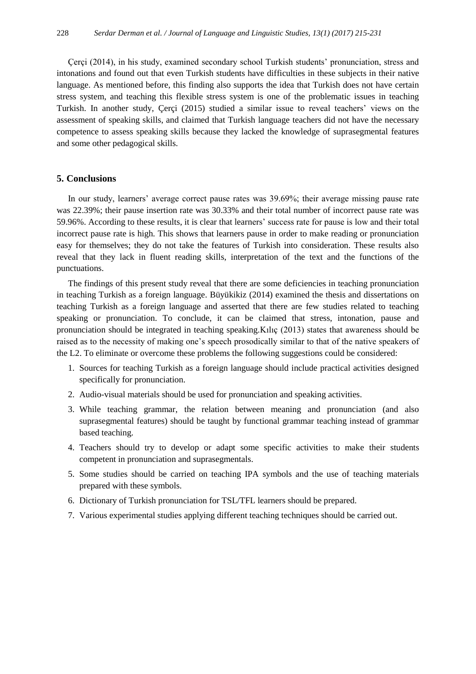Çerçi (2014), in his study, examined secondary school Turkish students' pronunciation, stress and intonations and found out that even Turkish students have difficulties in these subjects in their native language. As mentioned before, this finding also supports the idea that Turkish does not have certain stress system, and teaching this flexible stress system is one of the problematic issues in teaching Turkish. In another study, Çerçi (2015) studied a similar issue to reveal teachers' views on the assessment of speaking skills, and claimed that Turkish language teachers did not have the necessary competence to assess speaking skills because they lacked the knowledge of suprasegmental features and some other pedagogical skills.

#### **5. Conclusions**

In our study, learners' average correct pause rates was 39.69%; their average missing pause rate was 22.39%; their pause insertion rate was 30.33% and their total number of incorrect pause rate was 59.96%. According to these results, it is clear that learners' success rate for pause is low and their total incorrect pause rate is high. This shows that learners pause in order to make reading or pronunciation easy for themselves; they do not take the features of Turkish into consideration. These results also reveal that they lack in fluent reading skills, interpretation of the text and the functions of the punctuations.

The findings of this present study reveal that there are some deficiencies in teaching pronunciation in teaching Turkish as a foreign language. Büyükikiz (2014) examined the thesis and dissertations on teaching Turkish as a foreign language and asserted that there are few studies related to teaching speaking or pronunciation. To conclude, it can be claimed that stress, intonation, pause and pronunciation should be integrated in teaching speaking.Kılıç (2013) states that awareness should be raised as to the necessity of making one's speech prosodically similar to that of the native speakers of the L2. To eliminate or overcome these problems the following suggestions could be considered:

- 1. Sources for teaching Turkish as a foreign language should include practical activities designed specifically for pronunciation.
- 2. Audio-visual materials should be used for pronunciation and speaking activities.
- 3. While teaching grammar, the relation between meaning and pronunciation (and also suprasegmental features) should be taught by functional grammar teaching instead of grammar based teaching.
- 4. Teachers should try to develop or adapt some specific activities to make their students competent in pronunciation and suprasegmentals.
- 5. Some studies should be carried on teaching IPA symbols and the use of teaching materials prepared with these symbols.
- 6. Dictionary of Turkish pronunciation for TSL/TFL learners should be prepared.
- 7. Various experimental studies applying different teaching techniques should be carried out.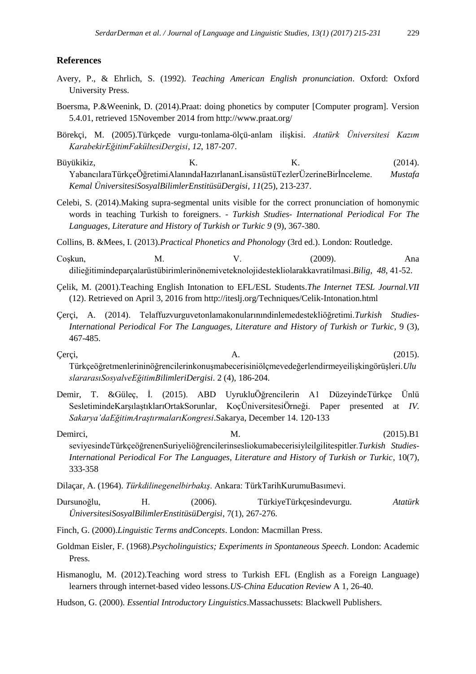#### **References**

- Avery, P., & Ehrlich, S. (1992). *Teaching American English pronunciation*. Oxford: Oxford University Press.
- Boersma, P.&Weenink, D. (2014).Praat: doing phonetics by computer [Computer program]. Version 5.4.01, retrieved 15November 2014 from http://www.praat.org/
- Börekçi, M. (2005).Türkçede vurgu-tonlama-ölçü-anlam ilişkisi. *Atatürk Üniversitesi Kazım KarabekirEğitimFakültesiDergisi*, *12*, 187-207.

Büyükikiz, K. K. (2014). YabancılaraTürkçeÖğretimiAlanındaHazırlananLisansüstüTezlerÜzerineBirİnceleme. *Mustafa Kemal ÜniversitesiSosyalBilimlerEnstitüsüDergisi*, *11*(25), 213-237.

Celebi, S. (2014).Making supra-segmental units visible for the correct pronunciation of homonymic words in teaching Turkish to foreigners. - *Turkish Studies- International Periodical For The Languages, Literature and History of Turkish or Turkic 9* (9), 367-380.

Collins, B. &Mees, I. (2013).*Practical Phonetics and Phonology* (3rd ed.). London: Routledge.

Coşkun, M. M. V. (2009). Ana dilieğitimindeparçalarüstübirimlerinönemiveteknolojidestekliolarakkavratilmasi.*Bilig*, *48*, 41-52.

Çelik, M. (2001).Teaching English Intonation to EFL/ESL Students.*The Internet TESL Journal.VII*  (12). Retrieved on April 3, 2016 from<http://iteslj.org/Techniques/Celik-Intonation.html>

- Çerçi, A. (2014). Telaffuzvurguvetonlamakonularınındinlemedestekliöğretimi.*Turkish Studies-International Periodical For The Languages, Literature and History of Turkish or Turkic*, 9 (3), 467-485.
- Çerçi, A. (2015). Türkçeöğretmenlerininöğrencilerinkonuşmabecerisiniölçmevedeğerlendirmeyeilişkingörüşleri.*Ulu slararasıSosyalveEğitimBilimleriDergisi*. 2 (4), 186-204.
- Demir, T. &Güleç, İ. (2015). ABD UyrukluÖğrencilerin A1 DüzeyindeTürkçe Ünlü SesletimindeKarşılaştıklarıOrtakSorunlar, KoçÜniversitesiÖrneği. Paper presented at *IV. Sakarya'daEğitimAraştırmalarıKongresi*.Sakarya, December 14. 120-133
- Demirci, 1992. M. M. (2015).B1 seviyesindeTürkçeöğrenenSuriyeliöğrencilerinsesliokumabecerisiyleilgilitespitler.*Turkish Studies-International Periodical For The Languages, Literature and History of Turkish or Turkic*, 10(7), 333-358
- Dilaçar, A. (1964). *Türkdilinegenelbirbakış*. Ankara: TürkTarihKurumuBasımevi.

Dursunoğlu, H. (2006). TürkiyeTürkçesindevurgu. *Atatürk ÜniversitesiSosyalBilimlerEnstitüsüDergisi*, 7(1), 267-276.

- Finch, G. (2000).*Linguistic Terms andConcepts*. London: Macmillan Press.
- Goldman Eisler, F. (1968).*Psycholinguistics; Experiments in Spontaneous Speech*. London: Academic Press.
- Hismanoglu, M. (2012).Teaching word stress to Turkish EFL (English as a Foreign Language) learners through internet-based video lessons.*US-China Education Review* A 1, 26-40.
- Hudson, G. (2000). *Essential Introductory Linguistics*.Massachussets: Blackwell Publishers.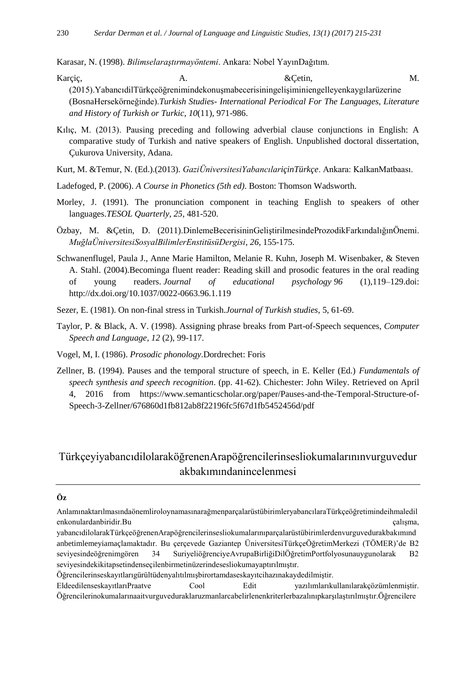Karasar, N. (1998). *Bilimselaraştırmayöntemi*. Ankara: Nobel YayınDağıtım.

- Karçiç,  $A.$  A.  $\&$  Qetin,  $\&$  M. (2015).YabancıdilTürkçeöğrenimindekonuşmabecerisiningelişiminiengelleyenkaygılarüzerine (BosnaHersekörneğinde).*Turkish Studies- International Periodical For The Languages, Literature and History of Turkish or Turkic*, *10*(11), 971-986.
- Kılıç, M. (2013). Pausing preceding and following adverbial clause conjunctions in English: A comparative study of Turkish and native speakers of English. Unpublished doctoral dissertation, Çukurova University, Adana.
- Kurt, M. &Temur, N. (Ed.).(2013). *GaziÜniversitesiYabancılariçinTürkçe*. Ankara: KalkanMatbaası.
- Ladefoged, P. (2006). *A Course in Phonetics (5th ed)*. Boston: Thomson Wadsworth.
- Morley, J. (1991). The pronunciation component in teaching English to speakers of other languages.*TESOL Quarterly, 25*, 481-520.
- Özbay, M. &Çetin, D. (2011).DinlemeBecerisininGeliştirilmesindeProzodikFarkındalığınÖnemi. *MuğlaÜniversitesiSosyalBilimlerEnstitüsüDergisi*, *26*, 155-175.
- Schwanenflugel, Paula J., Anne Marie Hamilton, Melanie R. Kuhn, Joseph M. Wisenbaker, & Steven A. Stahl. (2004).Becominga fluent reader: Reading skill and prosodic features in the oral reading of young readers. *Journal of educational psychology 96* (1),119–129.doi: <http://dx.doi.org/10.1037/0022-0663.96.1.119>
- Sezer, E. (1981). On non-final stress in Turkish.*Journal of Turkish studies*, 5, 61-69.
- Taylor, P. & Black, A. V. (1998). Assigning phrase breaks from Part-of-Speech sequences, *Computer Speech and Language*, *12* (2), 99-117.
- Vogel, M, I. (1986). *Prosodic phonology*.Dordrechet: Foris
- Zellner, B. (1994). Pauses and the temporal structure of speech, in E. Keller (Ed.) *Fundamentals of speech synthesis and speech recognition*. (pp. 41-62). Chichester: John Wiley. Retrieved on April 4, 2016 from [https://www.semanticscholar.org/paper/Pauses-and-the-Temporal-Structure-of-](https://www.semanticscholar.org/paper/Pauses-and-the-Temporal-Structure-of-Speech-3-Zellner/676860d1fb812ab8f22196fc5f67d1fb5452456d/pdf)[Speech-3-Zellner/676860d1fb812ab8f22196fc5f67d1fb5452456d/pdf](https://www.semanticscholar.org/paper/Pauses-and-the-Temporal-Structure-of-Speech-3-Zellner/676860d1fb812ab8f22196fc5f67d1fb5452456d/pdf)

## TürkçeyiyabancıdilolaraköğrenenArapöğrencilerinsesliokumalarınınvurguvedur akbakımındanincelenmesi

## **Öz**

- AnlamınaktarılmasındaönemliroloynamasınarağmenparçalarüstübirimleryabancılaraTürkçeöğretimindeihmaledil enkonulardanbiridir.Bu calışma, calisma, calisma, calisma, calisma, calisma, calisma, calisma, calisma, calisma, calisma, calisma, calisma, calisma, calisma, calisma, calisma, calisma, calisma, calisma, calisma, calisma, c
- yabancıdilolarakTürkçeöğrenenArapöğrencilerinsesliokumalarınıparçalarüstübirimlerdenvurguvedurakbakımınd anbetimlemeyiamaçlamaktadır. Bu çerçevede Gaziantep ÜniversitesiTürkçeÖğretimMerkezi (TÖMER)'de B2 seviyesindeöğrenimgören 34 SuriyeliöğrenciyeAvrupaBirliğiDilÖğretimPortfolyosunauygunolarak B2 seviyesindekikitapsetindenseçilenbirmetinüzerindesesliokumayaptırılmıştır.
- Öğrencilerinseskayıtlarıgürültüdenyalıtılmışbirortamdaseskayıtcihazınakaydedilmiştir.

EldeedilenseskayıtlarıPraatve Cool Edit yazılımlarıkullanılarakçözümlenmiştir. Öğrencilerinokumalarınaaitvurguveduraklaruzmanlarcabelirlenenkriterlerbazalınıpkarşılaştırılmıştır.Öğrencilere